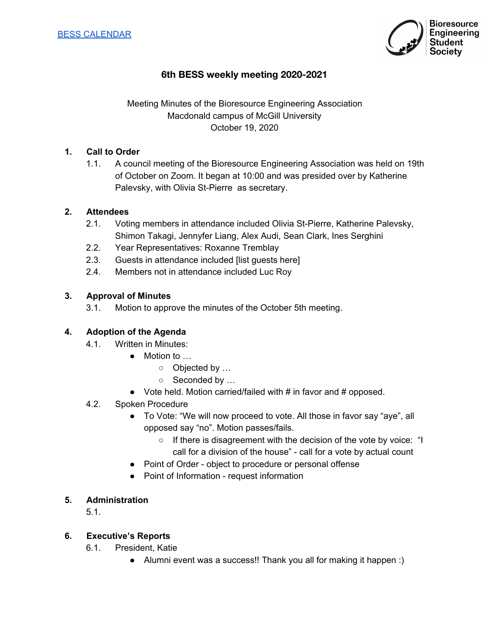

# **6th BESS weekly meeting 2020-2021**

# Meeting Minutes of the Bioresource Engineering Association Macdonald campus of McGill University October 19, 2020

### **1. Call to Order**

1.1. A council meeting of the Bioresource Engineering Association was held on 19th of October on Zoom. It began at 10:00 and was presided over by Katherine Palevsky, with Olivia St-Pierre as secretary.

#### **2. Attendees**

- 2.1. Voting members in attendance included Olivia St-Pierre, Katherine Palevsky, Shimon Takagi, Jennyfer Liang, Alex Audi, Sean Clark, Ines Serghini
- 2.2. Year Representatives: Roxanne Tremblay
- 2.3. Guests in attendance included [list guests here]
- 2.4. Members not in attendance included Luc Roy

#### **3. Approval of Minutes**

3.1. Motion to approve the minutes of the October 5th meeting.

#### **4. Adoption of the Agenda**

- 4.1. Written in Minutes:
	- Motion to …
		- o Objected by ...
			- o Seconded by ...
	- Vote held. Motion carried/failed with # in favor and # opposed.

#### 4.2. Spoken Procedure

- To Vote: "We will now proceed to vote. All those in favor say "aye", all opposed say "no". Motion passes/fails.
	- If there is disagreement with the decision of the vote by voice: "I call for a division of the house" - call for a vote by actual count
- Point of Order object to procedure or personal offense
- Point of Information request information

#### **5. Administration**

5.1.

#### **6. Executive's Reports**

- 6.1. President, Katie
	- Alumni event was a success!! Thank you all for making it happen :)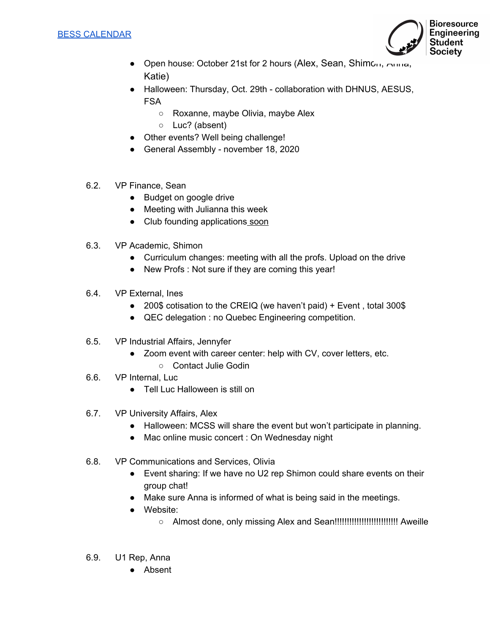

- Open house: October 21st for 2 hours (Alex, Sean, Shimon, Anna, Katie)
- Halloween: Thursday, Oct. 29th collaboration with DHNUS, AESUS, FSA
	- Roxanne, maybe Olivia, maybe Alex
	- Luc? (absent)
- Other events? Well being challenge!
- General Assembly november 18, 2020
- 6.2. VP Finance, Sean
	- Budget on google drive
	- Meeting with Julianna this week
	- Club founding applications soon
- 6.3. VP Academic, Shimon
	- Curriculum changes: meeting with all the profs. Upload on the drive
	- New Profs : Not sure if they are coming this year!
- 6.4. VP External, Ines
	- 200\$ cotisation to the CREIQ (we haven't paid) + Event, total 300\$
	- QEC delegation : no Quebec Engineering competition.
- 6.5. VP Industrial Affairs, Jennyfer
	- Zoom event with career center: help with CV, cover letters, etc.
		- Contact Julie Godin
- 6.6. VP Internal, Luc
	- Tell Luc Halloween is still on
- 6.7. VP University Affairs, Alex
	- Halloween: MCSS will share the event but won't participate in planning.
	- Mac online music concert : On Wednesday night
- 6.8. VP Communications and Services, Olivia
	- Event sharing: If we have no U2 rep Shimon could share events on their group chat!
	- Make sure Anna is informed of what is being said in the meetings.
	- Website:
		- Almost done, only missing Alex and Sean!!!!!!!!!!!!!!!!!!!!!!!!!! Aweille
- 6.9. U1 Rep, Anna
	- Absent